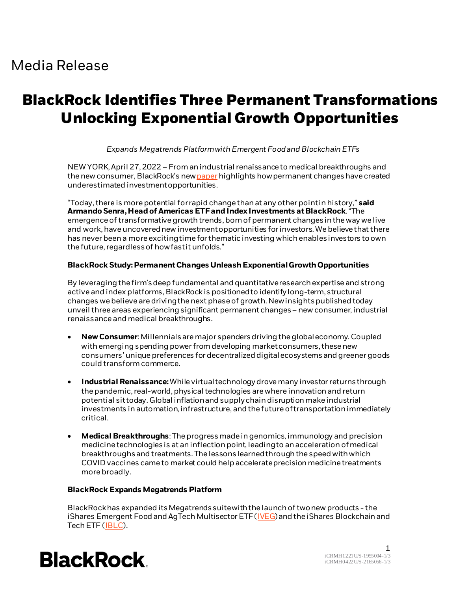# Media Release

# **BlackRock Identifies Three Permanent Transformations Unlocking Exponential Growth Opportunities**

#### *Expands Megatrends Platform with Emergent Food and Blockchain ETFs*

NEW YORK, April 27, 2022 – From an industrial renaissance to medical breakthroughs and the new consumer, BlackRock's ne[w paper](https://www.ishares.com/us/strategies/megatrends/three-permanent-transformations-driving-growth) highlights how permanent changes have created underestimated investment opportunities.

"Today, there is morepotential for rapid change than at any other point in history," **said Armando Senra, Head ofAmericas ETF and Index Investments at BlackRock**."The emergence of transformative growth trends, born of permanent changes in the way we live and work, have uncovered new investment opportunities for investors. We believe that there has never been a more exciting time for thematic investing which enables investors to own the future, regardless of how fast it unfolds."

### **BlackRock Study:PermanentChanges UnleashExponentialGrowthOpportunities**

By leveraging the firm's deep fundamental and quantitativeresearch expertise and strong active and index platforms, BlackRock is positioned to identifylong-term, structural changes we believe are driving the next phase of growth. New insights published today unveil three areas experiencing significant permanent changes – new consumer, industrial renaissance and medical breakthroughs.

- **New Consumer**: Millennials are major spenders driving the global economy. Coupled with emerging spending power from developing market consumers, these new consumers' unique preferences for decentralized digital ecosystems and greener goods could transformcommerce.
- **Industrial Renaissance:**While virtualtechnologydrovemany investorreturnsthrough the pandemic, real-world, physical technologies are where innovation and return potential sittoday. Global inflationandsupplychaindisruptionmake industrial investments inautomation, infrastructure, andthe future oftransportationimmediately critical.
- **Medical Breakthroughs**: The progress made in genomics, immunology and precision medicine technologiesis at aninflectionpoint, leadingto anaccelerationofmedical breakthroughsand treatments. The lessonslearnedthroughthe speed withwhich COVID vaccines came to market could helpaccelerateprecisionmedicinetreatments more broadly.

#### **BlackRock Expands Megatrends Platform**

BlackRock has expanded its Megatrends suite with the launch of two new products - the iShares Emergent Food and AgTech Multisector ETF (*IVEG*) and the iShares Blockchain and Tech ETF [\(IBLC](https://www.ishares.com/us/products/326614/)).



1 iCRMH1221U/S-1955004-1/3 iCRMH0422U/S-2165056-1/3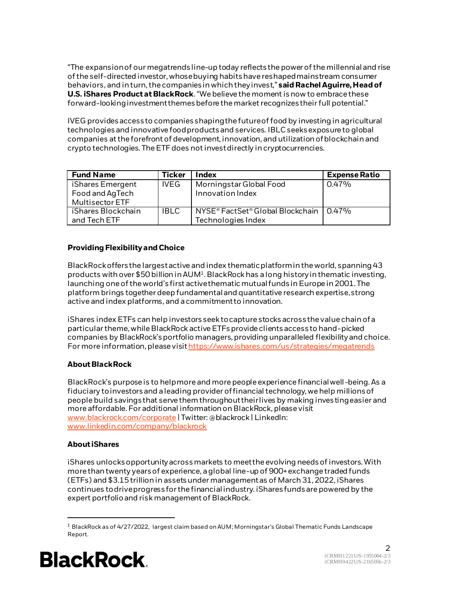"The expansionof our megatrendsline-up today reflectsthepower of themillennialandrise of the self-directedinvestor, whosebuyinghabitshave reshapedmainstream consumer behaviors, and in turn, the companies in which they invest," said Rachel Aguirre, Head of **U.S. iShares Product at BlackRock**. "We believe the moment is now to embrace these forward-looking investment themes before the market recognizes their full potential."

IVEG provides access to companies shaping the future of food by investing in agricultural technologies and innovative food products and services. IBLC seeks exposure to global companies at the forefront of development, innovation, and utilization of blockchain and crypto technologies. The ETF does not invest directly in cryptocurrencies.

| <b>Fund Name</b>                                       | <b>Ticker</b> | <b>Index</b>                                                   | <b>Expense Ratio</b> |
|--------------------------------------------------------|---------------|----------------------------------------------------------------|----------------------|
| iShares Emergent<br>Food and AgTech<br>Multisector ETF | <b>IVEG</b>   | Morningstar Global Food<br>Innovation Index                    | 0.47%                |
| iShares Blockchain<br>and Tech ETF                     | <b>IBLC</b>   | NYSE® FactSet® Global Blockchain   0.47%<br>Technologies Index |                      |

# **Providing Flexibility and Choice**

BlackRockoffersthe largestactive andindex thematicplatformintheworld, spanning43 products with over \$50 billion in AUM<sup>1</sup>. BlackRock has a long history in thematic investing, launching oneof theworld'sfirst activethematicmutualfundsinEurope in2001. The platform brings together deep fundamentaland quantitative researchexpertise,strong active andindex platforms, and acommitmentto innovation.

iShares index ETFs can help investors seek to capture stocks across the value chain of a particular theme, while BlackRock active ETFs provide clients access to hand-picked companies by BlackRock's portfolio managers, providing unparalleled flexibility and choice. For more information, please visit https://www.ishares.com/us/strategies/megatrends

# **About BlackRock**

BlackRock's purpose is to help more and more people experience financial well -being. As a fiduciary to investors and a leading provider of financial technology, we help millions of people build savings that serve them throughout their lives by making investing easier and more affordable. For additional information on BlackRock, please visit [www.blackrock.com/corporate](http://www.blackrock.com/corporate) | Twitter: @blackrock | LinkedIn: [www.linkedin.com/company/blackrock](http://www.linkedin.com/company/blackrock)

# **About iShares**

iShares unlocks opportunity across markets to meet the evolving needs of investors. With more than twenty years of experience, a global line-up of 900+ exchange traded funds (ETFs) and \$3.15 trillion in assets under management as of March 31, 2022, iShares continues to drive progress for the financial industry. iShares funds are powered by the expert portfolio and risk management of BlackRock.

<sup>1</sup> BlackRock as of 4/27/2022, largest claim based on AUM; Morningstar's Global Thematic Funds Landscape Report.